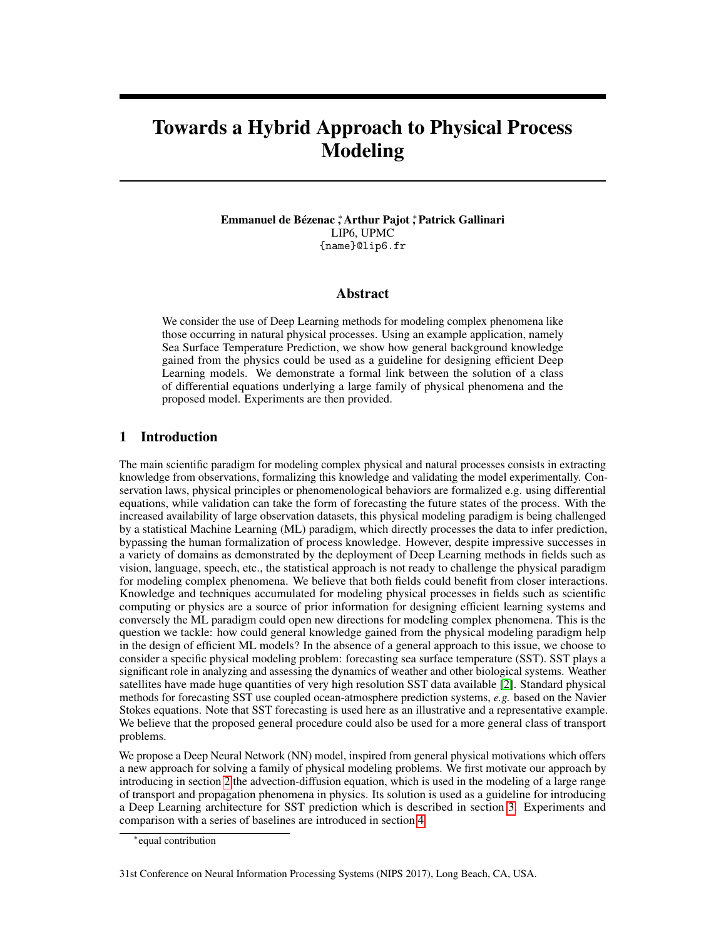# Towards a Hybrid Approach to Physical Process Modeling

#### Emmanuel de Bézenac ;\* Arthur Pajot ;\* Patrick Gallinari LIP6, UPMC {name}@lip6.fr

## Abstract

We consider the use of Deep Learning methods for modeling complex phenomena like those occurring in natural physical processes. Using an example application, namely Sea Surface Temperature Prediction, we show how general background knowledge gained from the physics could be used as a guideline for designing efficient Deep Learning models. We demonstrate a formal link between the solution of a class of differential equations underlying a large family of physical phenomena and the proposed model. Experiments are then provided.

# 1 Introduction

The main scientific paradigm for modeling complex physical and natural processes consists in extracting knowledge from observations, formalizing this knowledge and validating the model experimentally. Conservation laws, physical principles or phenomenological behaviors are formalized e.g. using differential equations, while validation can take the form of forecasting the future states of the process. With the increased availability of large observation datasets, this physical modeling paradigm is being challenged by a statistical Machine Learning (ML) paradigm, which directly processes the data to infer prediction, bypassing the human formalization of process knowledge. However, despite impressive successes in a variety of domains as demonstrated by the deployment of Deep Learning methods in fields such as vision, language, speech, etc., the statistical approach is not ready to challenge the physical paradigm for modeling complex phenomena. We believe that both fields could benefit from closer interactions. Knowledge and techniques accumulated for modeling physical processes in fields such as scientific computing or physics are a source of prior information for designing efficient learning systems and conversely the ML paradigm could open new directions for modeling complex phenomena. This is the question we tackle: how could general knowledge gained from the physical modeling paradigm help in the design of efficient ML models? In the absence of a general approach to this issue, we choose to consider a specific physical modeling problem: forecasting sea surface temperature (SST). SST plays a significant role in analyzing and assessing the dynamics of weather and other biological systems. Weather satellites have made huge quantities of very high resolution SST data available [\[2\]](#page-4-0). Standard physical methods for forecasting SST use coupled ocean-atmosphere prediction systems, *e.g.* based on the Navier Stokes equations. Note that SST forecasting is used here as an illustrative and a representative example. We believe that the proposed general procedure could also be used for a more general class of transport problems.

We propose a Deep Neural Network (NN) model, inspired from general physical motivations which offers a new approach for solving a family of physical modeling problems. We first motivate our approach by introducing in section [2](#page-1-0) the advection-diffusion equation, which is used in the modeling of a large range of transport and propagation phenomena in physics. Its solution is used as a guideline for introducing a Deep Learning architecture for SST prediction which is described in section [3.](#page-1-1) Experiments and comparison with a series of baselines are introduced in section [4.](#page-3-0)

<sup>∗</sup> equal contribution

<sup>31</sup>st Conference on Neural Information Processing Systems (NIPS 2017), Long Beach, CA, USA.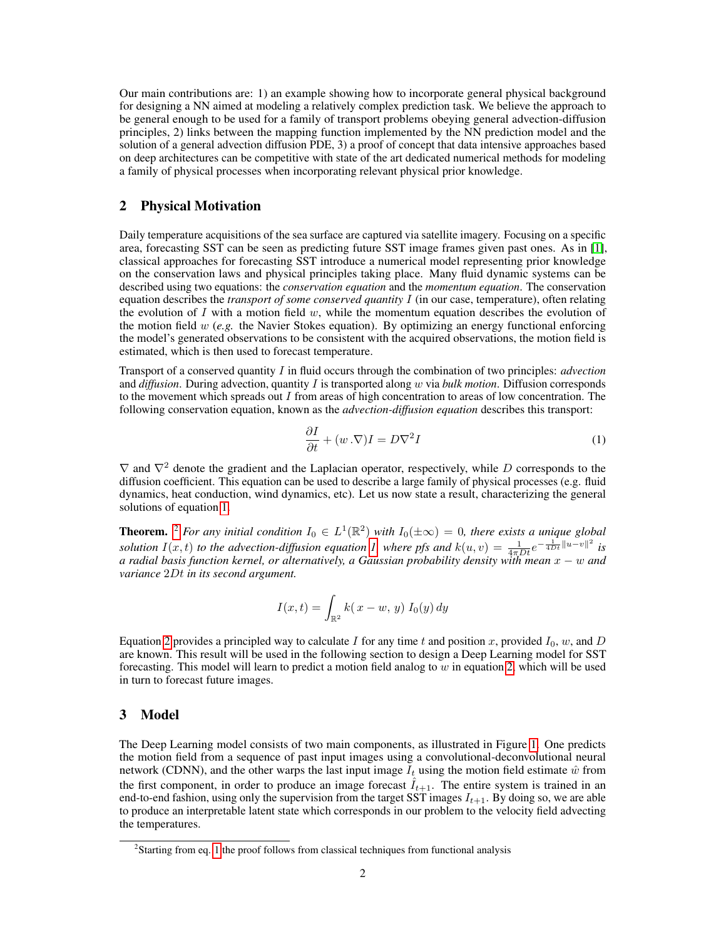Our main contributions are: 1) an example showing how to incorporate general physical background for designing a NN aimed at modeling a relatively complex prediction task. We believe the approach to be general enough to be used for a family of transport problems obeying general advection-diffusion principles, 2) links between the mapping function implemented by the NN prediction model and the solution of a general advection diffusion PDE, 3) a proof of concept that data intensive approaches based on deep architectures can be competitive with state of the art dedicated numerical methods for modeling a family of physical processes when incorporating relevant physical prior knowledge.

## <span id="page-1-0"></span>2 Physical Motivation

Daily temperature acquisitions of the sea surface are captured via satellite imagery. Focusing on a specific area, forecasting SST can be seen as predicting future SST image frames given past ones. As in [\[1\]](#page-4-1), classical approaches for forecasting SST introduce a numerical model representing prior knowledge on the conservation laws and physical principles taking place. Many fluid dynamic systems can be described using two equations: the *conservation equation* and the *momentum equation*. The conservation equation describes the *transport of some conserved quantity* I (in our case, temperature), often relating the evolution of I with a motion field  $w$ , while the momentum equation describes the evolution of the motion field w (*e.g.* the Navier Stokes equation). By optimizing an energy functional enforcing the model's generated observations to be consistent with the acquired observations, the motion field is estimated, which is then used to forecast temperature.

Transport of a conserved quantity I in fluid occurs through the combination of two principles: *advection* and *diffusion*. During advection, quantity I is transported along w via *bulk motion*. Diffusion corresponds to the movement which spreads out  $I$  from areas of high concentration to areas of low concentration. The following conservation equation, known as the *advection-diffusion equation* describes this transport:

<span id="page-1-2"></span>
$$
\frac{\partial I}{\partial t} + (w \cdot \nabla)I = D\nabla^2 I \tag{1}
$$

 $\nabla$  and  $\nabla^2$  denote the gradient and the Laplacian operator, respectively, while D corresponds to the diffusion coefficient. This equation can be used to describe a large family of physical processes (e.g. fluid dynamics, heat conduction, wind dynamics, etc). Let us now state a result, characterizing the general solutions of equation [1.](#page-1-2)

**Theorem.** <sup>[2](#page-1-3)</sup> For any initial condition  $I_0 \in L^1(\mathbb{R}^2)$  with  $I_0(\pm \infty) = 0$ , there exists a unique global *solution*  $I(x,t)$  *to the advection-diffusion equation 1,* where pfs and  $k(u,v) = \frac{1}{4\pi Dt}e^{-\frac{1}{4Dt}\|u-v\|^2}$  is *a radial basis function kernel, or alternatively, a Gaussian probability density with mean* x − w *and variance* 2Dt *in its second argument.*

$$
I(x,t) = \int_{\mathbb{R}^2} k(x - w, y) I_0(y) dy
$$

Equation [2](#page-1-2) provides a principled way to calculate I for any time t and position x, provided  $I_0$ , w, and D are known. This result will be used in the following section to design a Deep Learning model for SST forecasting. This model will learn to predict a motion field analog to  $w$  in equation [2,](#page-1-2) which will be used in turn to forecast future images.

## <span id="page-1-1"></span>3 Model

The Deep Learning model consists of two main components, as illustrated in Figure [1.](#page-2-0) One predicts the motion field from a sequence of past input images using a convolutional-deconvolutional neural network (CDNN), and the other warps the last input image  $I_t$  using the motion field estimate  $\hat{w}$  from the first component, in order to produce an image forecast  $\hat{I}_{t+1}$ . The entire system is trained in an end-to-end fashion, using only the supervision from the target SST images  $I_{t+1}$ . By doing so, we are able to produce an interpretable latent state which corresponds in our problem to the velocity field advecting the temperatures.

<span id="page-1-3"></span><sup>&</sup>lt;sup>2</sup>Starting from eq. [1](#page-1-2) the proof follows from classical techniques from functional analysis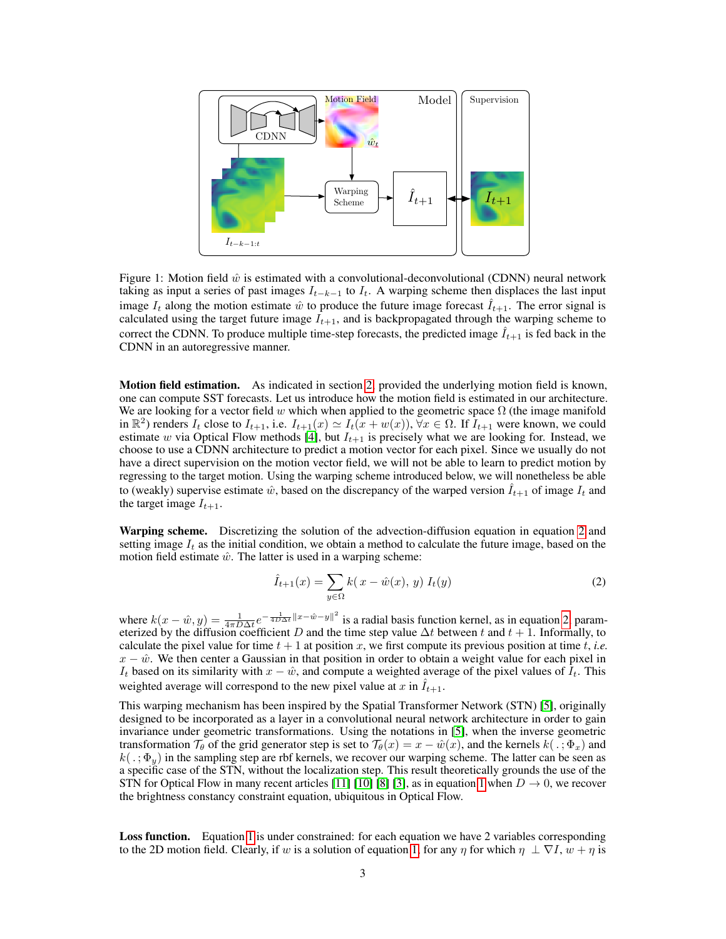

<span id="page-2-0"></span>Figure 1: Motion field  $\hat{w}$  is estimated with a convolutional-deconvolutional (CDNN) neural network taking as input a series of past images  $I_{t-k-1}$  to  $I_t$ . A warping scheme then displaces the last input image  $I_t$  along the motion estimate  $\hat{w}$  to produce the future image forecast  $\hat{I}_{t+1}$ . The error signal is calculated using the target future image  $I_{t+1}$ , and is backpropagated through the warping scheme to correct the CDNN. To produce multiple time-step forecasts, the predicted image  $I_{t+1}$  is fed back in the CDNN in an autoregressive manner.

Motion field estimation. As indicated in section [2,](#page-1-0) provided the underlying motion field is known, one can compute SST forecasts. Let us introduce how the motion field is estimated in our architecture. We are looking for a vector field w which when applied to the geometric space  $\Omega$  (the image manifold in  $\mathbb{R}^2$ ) renders  $I_t$  close to  $I_{t+1}$ , i.e.  $I_{t+1}(x) \simeq I_t(x + w(x))$ ,  $\forall x \in \Omega$ . If  $I_{t+1}$  were known, we could estimate w via Optical Flow methods [\[4\]](#page-4-2), but  $I_{t+1}$  is precisely what we are looking for. Instead, we choose to use a CDNN architecture to predict a motion vector for each pixel. Since we usually do not have a direct supervision on the motion vector field, we will not be able to learn to predict motion by regressing to the target motion. Using the warping scheme introduced below, we will nonetheless be able to (weakly) supervise estimate  $\hat{w}$ , based on the discrepancy of the warped version  $\hat{I}_{t+1}$  of image  $I_t$  and the target image  $I_{t+1}$ .

Warping scheme. Discretizing the solution of the advection-diffusion equation in equation [2](#page-1-0) and setting image  $I_t$  as the initial condition, we obtain a method to calculate the future image, based on the motion field estimate  $\hat{w}$ . The latter is used in a warping scheme:

$$
\hat{I}_{t+1}(x) = \sum_{y \in \Omega} k(x - \hat{w}(x), y) I_t(y)
$$
\n(2)

where  $k(x - \hat{w}, y) = \frac{1}{4\pi D \Delta t} e^{-\frac{1}{4D\Delta t} ||x - \hat{w} - y||^2}$  is a radial basis function kernel, as in equation [2,](#page-1-2) parameterized by the diffusion coefficient D and the time step value  $\Delta t$  between t and  $t + 1$ . Informally, to calculate the pixel value for time  $t + 1$  at position x, we first compute its previous position at time t, *i.e.*  $x - \hat{w}$ . We then center a Gaussian in that position in order to obtain a weight value for each pixel in  $I_t$  based on its similarity with  $x - \hat{w}$ , and compute a weighted average of the pixel values of  $\hat{I}_t$ . This weighted average will correspond to the new pixel value at x in  $\hat{I}_{t+1}$ .

This warping mechanism has been inspired by the Spatial Transformer Network (STN) [\[5\]](#page-4-3), originally designed to be incorporated as a layer in a convolutional neural network architecture in order to gain invariance under geometric transformations. Using the notations in [\[5\]](#page-4-3), when the inverse geometric transformation  $\mathcal{T}_{\theta}$  of the grid generator step is set to  $\mathcal{T}_{\theta}(x) = x - \hat{w}(x)$ , and the kernels  $k(.) : \Phi_x$  and  $k(.;\Phi_y)$  in the sampling step are rbf kernels, we recover our warping scheme. The latter can be seen as a specific case of the STN, without the localization step. This result theoretically grounds the use of the STN for Optical Flow in many recent articles [\[11\]](#page-4-4) [\[10\]](#page-4-5) [\[8\]](#page-4-6) [\[3\]](#page-4-7), as in equation [1](#page-1-2) when  $D \to 0$ , we recover the brightness constancy constraint equation, ubiquitous in Optical Flow.

Loss function. Equation [1](#page-1-2) is under constrained: for each equation we have 2 variables corresponding to the 2D motion field. Clearly, if w is a solution of equation [1,](#page-1-2) for any  $\eta$  for which  $\eta \perp \nabla I$ ,  $w + \eta$  is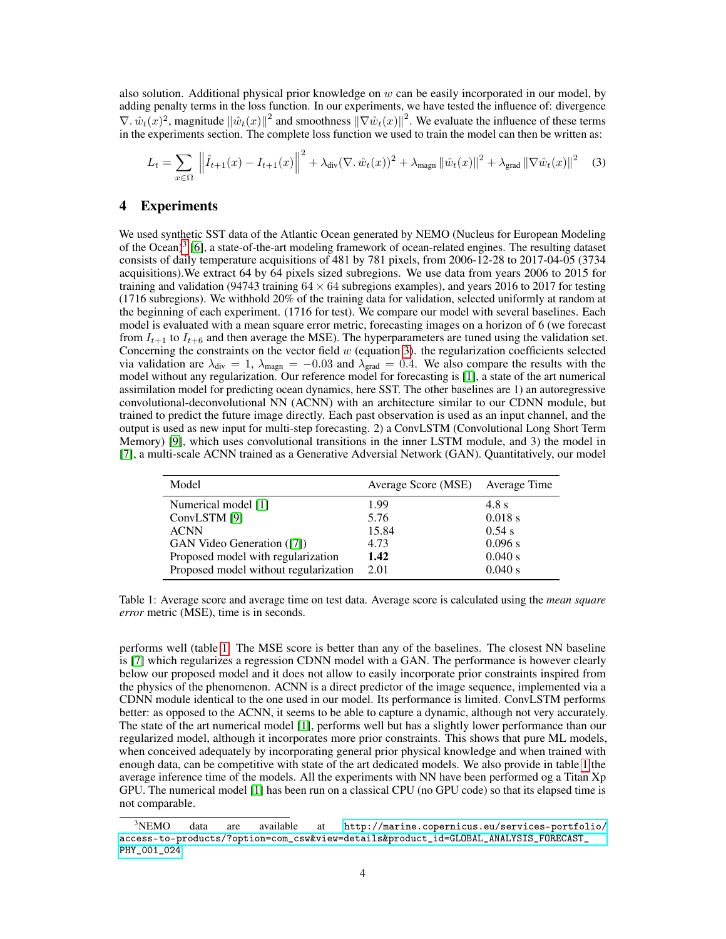also solution. Additional physical prior knowledge on  $w$  can be easily incorporated in our model, by adding penalty terms in the loss function. In our experiments, we have tested the influence of: divergence  $\nabla \cdot \hat{w}_t(x)^2$ , magnitude  $\|\hat{w}_t(x)\|^2$  and smoothness  $\|\nabla \hat{w}_t(x)\|^2$ . We evaluate the influence of these terms in the experiments section. The complete loss function we used to train the model can then be written as:

<span id="page-3-2"></span>
$$
L_{t} = \sum_{x \in \Omega} \left\| \hat{I}_{t+1}(x) - I_{t+1}(x) \right\|^{2} + \lambda_{\text{div}}(\nabla \cdot \hat{w}_{t}(x))^{2} + \lambda_{\text{magn}} \left\| \hat{w}_{t}(x) \right\|^{2} + \lambda_{\text{grad}} \left\| \nabla \hat{w}_{t}(x) \right\|^{2} \tag{3}
$$

## <span id="page-3-0"></span>4 Experiments

We used synthetic SST data of the Atlantic Ocean generated by NEMO (Nucleus for European Modeling of the Ocean)<sup>[3](#page-3-1)</sup> [\[6\]](#page-4-8), a state-of-the-art modeling framework of ocean-related engines. The resulting dataset consists of daily temperature acquisitions of 481 by 781 pixels, from 2006-12-28 to 2017-04-05 (3734 acquisitions).We extract 64 by 64 pixels sized subregions. We use data from years 2006 to 2015 for training and validation (94743 training  $64 \times 64$  subregions examples), and years 2016 to 2017 for testing (1716 subregions). We withhold 20% of the training data for validation, selected uniformly at random at the beginning of each experiment. (1716 for test). We compare our model with several baselines. Each model is evaluated with a mean square error metric, forecasting images on a horizon of 6 (we forecast from  $I_{t+1}$  to  $I_{t+6}$  and then average the MSE). The hyperparameters are tuned using the validation set. Concerning the constraints on the vector field  $w$  (equation [3\)](#page-3-2). the regularization coefficients selected via validation are  $\lambda_{div} = 1$ ,  $\lambda_{magn} = -0.03$  and  $\lambda_{grad} = 0.4$ . We also compare the results with the model without any regularization. Our reference model for forecasting is [\[1\]](#page-4-1), a state of the art numerical assimilation model for predicting ocean dynamics, here SST. The other baselines are 1) an autoregressive convolutional-deconvolutional NN (ACNN) with an architecture similar to our CDNN module, but trained to predict the future image directly. Each past observation is used as an input channel, and the output is used as new input for multi-step forecasting. 2) a ConvLSTM (Convolutional Long Short Term Memory) [\[9\]](#page-4-9), which uses convolutional transitions in the inner LSTM module, and 3) the model in [\[7\]](#page-4-10), a multi-scale ACNN trained as a Generative Adversial Network (GAN). Quantitatively, our model

| Model                                 | Average Score (MSE) Average Time |           |
|---------------------------------------|----------------------------------|-----------|
| Numerical model [1]                   | 1.99                             | 4.8 s     |
| ConvLSTM [9]                          | 5.76                             | $0.018$ s |
| <b>ACNN</b>                           | 15.84                            | 0.54 s    |
| <b>GAN Video Generation</b> ([7])     | 4.73                             | 0.096 s   |
| Proposed model with regularization    | 1.42                             | 0.040 s   |
| Proposed model without regularization | 2.01                             | 0.040 s   |

<span id="page-3-3"></span>Table 1: Average score and average time on test data. Average score is calculated using the *mean square error* metric (MSE), time is in seconds.

performs well (table [1.](#page-3-3) The MSE score is better than any of the baselines. The closest NN baseline is [\[7\]](#page-4-10) which regularizes a regression CDNN model with a GAN. The performance is however clearly below our proposed model and it does not allow to easily incorporate prior constraints inspired from the physics of the phenomenon. ACNN is a direct predictor of the image sequence, implemented via a CDNN module identical to the one used in our model. Its performance is limited. ConvLSTM performs better: as opposed to the ACNN, it seems to be able to capture a dynamic, although not very accurately. The state of the art numerical model [\[1\]](#page-4-1), performs well but has a slightly lower performance than our regularized model, although it incorporates more prior constraints. This shows that pure ML models, when conceived adequately by incorporating general prior physical knowledge and when trained with enough data, can be competitive with state of the art dedicated models. We also provide in table [1](#page-3-3) the average inference time of the models. All the experiments with NN have been performed og a Titan Xp GPU. The numerical model [\[1\]](#page-4-1) has been run on a classical CPU (no GPU code) so that its elapsed time is not comparable.

<span id="page-3-1"></span> $3NEMO$  data are available at [http://marine.copernicus.eu/services-portfolio/](http://marine.copernicus.eu/services-portfolio/access-to-products/?option=com_csw&view=details&product_id=GLOBAL_ANALYSIS_FORECAST_PHY_001_024) [access-to-products/?option=com\\_csw&view=details&product\\_id=GLOBAL\\_ANALYSIS\\_FORECAST\\_](http://marine.copernicus.eu/services-portfolio/access-to-products/?option=com_csw&view=details&product_id=GLOBAL_ANALYSIS_FORECAST_PHY_001_024) [PHY\\_001\\_024](http://marine.copernicus.eu/services-portfolio/access-to-products/?option=com_csw&view=details&product_id=GLOBAL_ANALYSIS_FORECAST_PHY_001_024)